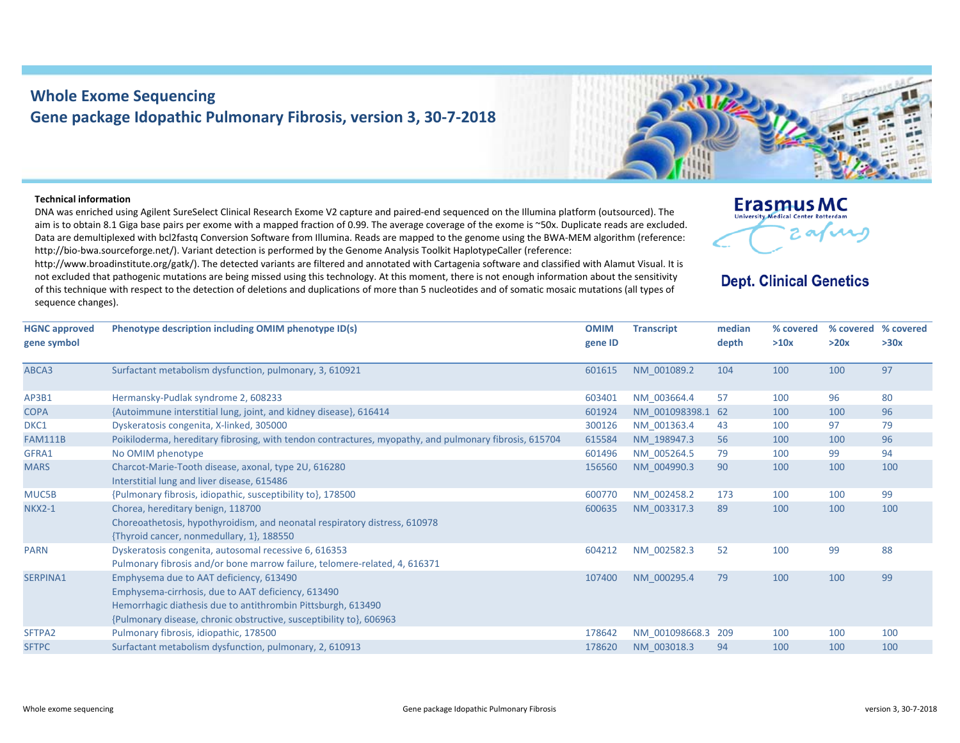## **Whole Exome Sequencing Gene package Idopathic Pulmonary Fibrosis, version 3, 30‐7‐2018**

## **Technical information**

DNA was enriched using Agilent SureSelect Clinical Research Exome V2 capture and paired‐end sequenced on the Illumina platform (outsourced). The aim is to obtain 8.1 Giga base pairs per exome with <sup>a</sup> mapped fraction of 0.99. The average coverage of the exome is ~50x. Duplicate reads are excluded. Data are demultiplexed with bcl2fastq Conversion Software from Illumina. Reads are mapped to the genome using the BWA‐MEM algorithm (reference: http://bio-bwa.sourceforge.net/). Variant detection is performed by the Genome Analysis Toolkit HaplotypeCaller (reference:

http://www.broadinstitute.org/gatk/). The detected variants are filtered and annotated with Cartagenia software and classified with Alamut Visual. It is not excluded that pathogenic mutations are being missed using this technology. At this moment, there is not enough information about the sensitivity of this technique with respect to the detection of deletions and duplications of more than 5 nucleotides and of somatic mosaic mutations (all types of sequence changes).

## **Erasmus MC** University Medical Center Rotterdan

## **Dept. Clinical Genetics**

| <b>HGNC approved</b><br>gene symbol | Phenotype description including OMIM phenotype ID(s)                                                                                                                                                                                 | <b>OMIM</b><br>gene ID | <b>Transcript</b> | median<br>depth | % covered<br>>10x | % covered % covered<br>>20x | >30x |
|-------------------------------------|--------------------------------------------------------------------------------------------------------------------------------------------------------------------------------------------------------------------------------------|------------------------|-------------------|-----------------|-------------------|-----------------------------|------|
| ABCA3                               | Surfactant metabolism dysfunction, pulmonary, 3, 610921                                                                                                                                                                              | 601615                 | NM 001089.2       | 104             | 100               | 100                         | 97   |
| AP3B1                               | Hermansky-Pudlak syndrome 2, 608233                                                                                                                                                                                                  | 603401                 | NM 003664.4       | 57              | 100               | 96                          | 80   |
| <b>COPA</b>                         | {Autoimmune interstitial lung, joint, and kidney disease}, 616414                                                                                                                                                                    | 601924                 | NM 001098398.1 62 |                 | 100               | 100                         | 96   |
| DKC1                                | Dyskeratosis congenita, X-linked, 305000                                                                                                                                                                                             | 300126                 | NM 001363.4       | 43              | 100               | 97                          | 79   |
| <b>FAM111B</b>                      | Poikiloderma, hereditary fibrosing, with tendon contractures, myopathy, and pulmonary fibrosis, 615704                                                                                                                               | 615584                 | NM 198947.3       | 56              | 100               | 100                         | 96   |
| GFRA1                               | No OMIM phenotype                                                                                                                                                                                                                    | 601496                 | NM 005264.5       | 79              | 100               | 99                          | 94   |
| <b>MARS</b>                         | Charcot-Marie-Tooth disease, axonal, type 2U, 616280<br>Interstitial lung and liver disease, 615486                                                                                                                                  | 156560                 | NM 004990.3       | 90              | 100               | 100                         | 100  |
| MUC5B                               | {Pulmonary fibrosis, idiopathic, susceptibility to}, 178500                                                                                                                                                                          | 600770                 | NM 002458.2       | 173             | 100               | 100                         | 99   |
| <b>NKX2-1</b>                       | Chorea, hereditary benign, 118700<br>Choreoathetosis, hypothyroidism, and neonatal respiratory distress, 610978<br>{Thyroid cancer, nonmedullary, 1}, 188550                                                                         | 600635                 | NM 003317.3       | 89              | 100               | 100                         | 100  |
| <b>PARN</b>                         | Dyskeratosis congenita, autosomal recessive 6, 616353<br>Pulmonary fibrosis and/or bone marrow failure, telomere-related, 4, 616371                                                                                                  | 604212                 | NM 002582.3       | 52              | 100               | 99                          | 88   |
| SERPINA1                            | Emphysema due to AAT deficiency, 613490<br>Emphysema-cirrhosis, due to AAT deficiency, 613490<br>Hemorrhagic diathesis due to antithrombin Pittsburgh, 613490<br>{Pulmonary disease, chronic obstructive, susceptibility to}, 606963 | 107400                 | NM 000295.4       | 79              | 100               | 100                         | 99   |
| SFTPA2                              | Pulmonary fibrosis, idiopathic, 178500                                                                                                                                                                                               | 178642                 | NM 001098668.3    | 209             | 100               | 100                         | 100  |
| <b>SFTPC</b>                        | Surfactant metabolism dysfunction, pulmonary, 2, 610913                                                                                                                                                                              | 178620                 | NM 003018.3       | 94              | 100               | 100                         | 100  |